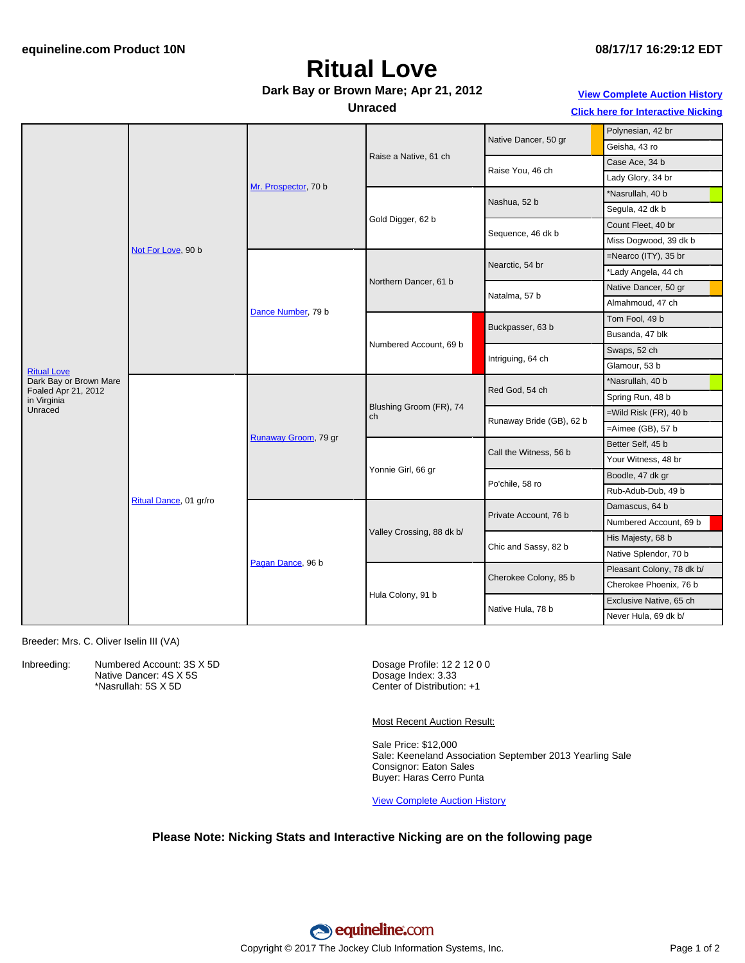# **Ritual Love**

#### **Dark Bay or Brown Mare; Apr 21, 2012**

#### **Unraced**

### **View [Complete](http://www.equineline.com/Free-Auction-Results.cfm?upsellReferenceNumber=&upsellHorseName=&upsellBreedType=&upsellHorseType=&upsellYOB=&lookupAuctionResults=true&tempHorseType=&tempSale=ALL&tempYear=ALL&search_type=HORSE&reference_number=9333650&horse_name=Fateful&horse_type=ALL&year=ALL&sale=ALL&consignor_id=&consignor_name=&buyer_id=&buyer_name=&price_range_low=&price_range_high=&availableConsignors=&availableBuyers=&fromFree5CrossPedigree=Y) Auction History**

**Click here for [Interactive](#page-1-0) Nicking**

|                                    | Not For Love, 90 b     | Mr. Prospector, 70 b | Raise a Native, 61 ch         | Native Dancer, 50 gr     | Polynesian, 42 br         |
|------------------------------------|------------------------|----------------------|-------------------------------|--------------------------|---------------------------|
|                                    |                        |                      |                               |                          | Geisha, 43 ro             |
|                                    |                        |                      |                               | Raise You, 46 ch         | Case Ace, 34 b            |
|                                    |                        |                      |                               |                          | Lady Glory, 34 br         |
|                                    |                        |                      | Gold Digger, 62 b             | Nashua, 52 b             | *Nasrullah, 40 b          |
|                                    |                        |                      |                               |                          | Segula, 42 dk b           |
|                                    |                        |                      |                               | Sequence, 46 dk b        | Count Fleet, 40 br        |
|                                    |                        |                      |                               |                          | Miss Dogwood, 39 dk b     |
|                                    |                        | Dance Number, 79 b   | Northern Dancer, 61 b         | Nearctic, 54 br          | =Nearco (ITY), 35 br      |
|                                    |                        |                      |                               |                          | *Lady Angela, 44 ch       |
|                                    |                        |                      |                               | Natalma, 57 b            | Native Dancer, 50 gr      |
|                                    |                        |                      |                               |                          | Almahmoud, 47 ch          |
|                                    |                        |                      | Numbered Account, 69 b        | Buckpasser, 63 b         | Tom Fool, 49 b            |
| <b>Ritual Love</b>                 |                        |                      |                               |                          | Busanda, 47 blk           |
|                                    |                        |                      |                               | Intriguing, 64 ch        | Swaps, 52 ch              |
|                                    |                        |                      |                               |                          | Glamour, 53 b             |
| Dark Bay or Brown Mare             |                        |                      | Blushing Groom (FR), 74<br>ch | Red God, 54 ch           | *Nasrullah, 40 b          |
| Foaled Apr 21, 2012<br>in Virginia | Ritual Dance, 01 gr/ro | Runaway Groom, 79 gr |                               |                          | Spring Run, 48 b          |
| Unraced                            |                        |                      |                               | Runaway Bride (GB), 62 b | $=$ Wild Risk (FR), 40 b  |
|                                    |                        |                      |                               |                          | $=$ Aimee (GB), 57 b      |
|                                    |                        |                      | Yonnie Girl, 66 gr            | Call the Witness, 56 b   | Better Self, 45 b         |
|                                    |                        |                      |                               |                          | Your Witness, 48 br       |
|                                    |                        |                      |                               | Po'chile, 58 ro          | Boodle, 47 dk gr          |
|                                    |                        |                      |                               |                          | Rub-Adub-Dub, 49 b        |
|                                    |                        | Pagan Dance, 96 b    | Valley Crossing, 88 dk b/     | Private Account, 76 b    | Damascus, 64 b            |
|                                    |                        |                      |                               |                          | Numbered Account, 69 b    |
|                                    |                        |                      |                               | Chic and Sassy, 82 b     | His Majesty, 68 b         |
|                                    |                        |                      |                               |                          | Native Splendor, 70 b     |
|                                    |                        |                      | Hula Colony, 91 b             | Cherokee Colony, 85 b    | Pleasant Colony, 78 dk b/ |
|                                    |                        |                      |                               |                          | Cherokee Phoenix, 76 b    |
|                                    |                        |                      |                               | Native Hula, 78 b        | Exclusive Native, 65 ch   |
|                                    |                        |                      |                               |                          | Never Hula, 69 dk b/      |
|                                    |                        |                      |                               |                          |                           |

Breeder: Mrs. C. Oliver Iselin III (VA)

Inbreeding: Numbered Account: 3S X 5D Native Dancer: 4S X 5S \*Nasrullah: 5S X 5D

Dosage Profile: 12 2 12 0 0 Dosage Index: 3.33 Center of Distribution: +1

Most Recent Auction Result:

Sale Price: \$12,000 Sale: Keeneland Association September 2013 Yearling Sale Consignor: Eaton Sales Buyer: Haras Cerro Punta

View [Complete](http://www.equineline.com/Free-Auction-Results.cfm?upsellReferenceNumber=&upsellHorseName=&upsellBreedType=&upsellHorseType=&upsellYOB=&lookupAuctionResults=true&tempHorseType=&tempSale=ALL&tempYear=ALL&search_type=HORSE&reference_number=9333650&horse_name=Fateful&horse_type=ALL&year=ALL&sale=ALL&consignor_id=&consignor_name=&buyer_id=&buyer_name=&price_range_low=&price_range_high=&availableConsignors=&availableBuyers=&fromFree5CrossPedigree=Y) Auction History

#### **Please Note: Nicking Stats and Interactive Nicking are on the following page**